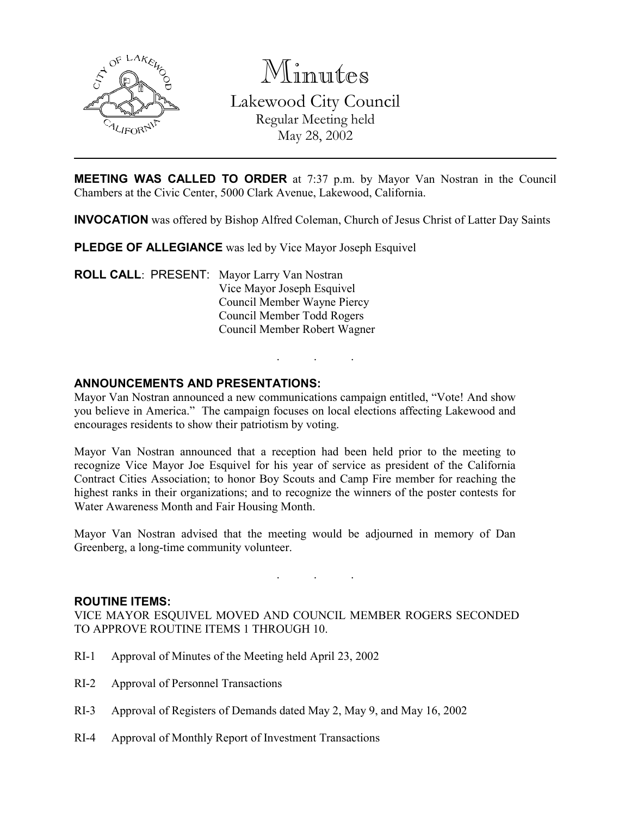

Minutes

Lakewood City Council Regular Meeting held May 28, 2002

**MEETING WAS CALLED TO ORDER** at 7:37 p.m. by Mayor Van Nostran in the Council Chambers at the Civic Center, 5000 Clark Avenue, Lakewood, California.

INVOCATION was offered by Bishop Alfred Coleman, Church of Jesus Christ of Latter Day Saints

PLEDGE OF ALLEGIANCE was led by Vice Mayor Joseph Esquivel

ROLL CALL: PRESENT: Mayor Larry Van Nostran Vice Mayor Joseph Esquivel Council Member Wayne Piercy Council Member Todd Rogers Council Member Robert Wagner

## ANNOUNCEMENTS AND PRESENTATIONS:

Mayor Van Nostran announced a new communications campaign entitled, "Vote! And show you believe in America." The campaign focuses on local elections affecting Lakewood and encourages residents to show their patriotism by voting.

. . .

Mayor Van Nostran announced that a reception had been held prior to the meeting to recognize Vice Mayor Joe Esquivel for his year of service as president of the California Contract Cities Association; to honor Boy Scouts and Camp Fire member for reaching the highest ranks in their organizations; and to recognize the winners of the poster contests for Water Awareness Month and Fair Housing Month.

Mayor Van Nostran advised that the meeting would be adjourned in memory of Dan Greenberg, a long-time community volunteer.

. . .

## ROUTINE ITEMS:

VICE MAYOR ESQUIVEL MOVED AND COUNCIL MEMBER ROGERS SECONDED TO APPROVE ROUTINE ITEMS 1 THROUGH 10.

- RI-1 Approval of Minutes of the Meeting held April 23, 2002
- RI-2 Approval of Personnel Transactions
- RI-3 Approval of Registers of Demands dated May 2, May 9, and May 16, 2002
- RI-4 Approval of Monthly Report of Investment Transactions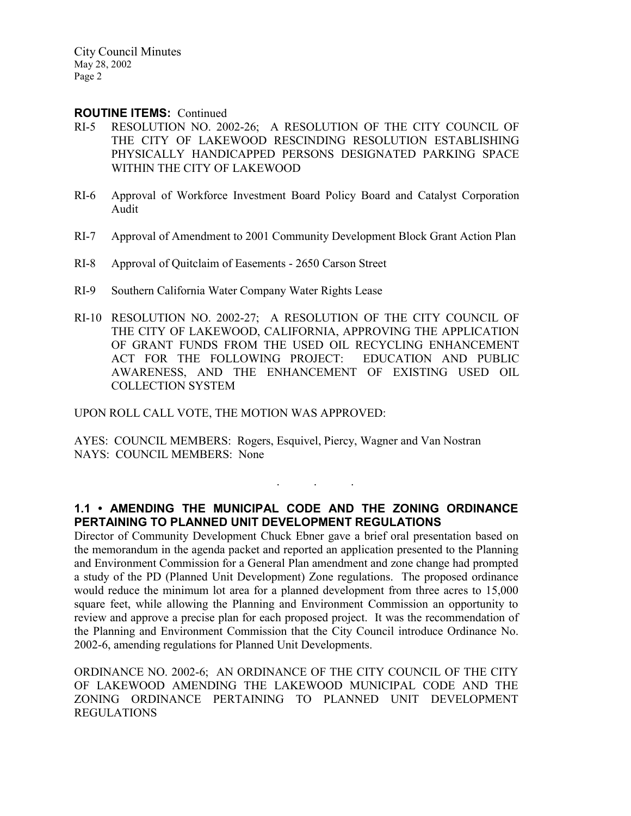#### ROUTINE ITEMS: Continued

- RI-5 RESOLUTION NO. 2002-26; A RESOLUTION OF THE CITY COUNCIL OF THE CITY OF LAKEWOOD RESCINDING RESOLUTION ESTABLISHING PHYSICALLY HANDICAPPED PERSONS DESIGNATED PARKING SPACE WITHIN THE CITY OF LAKEWOOD
- RI-6 Approval of Workforce Investment Board Policy Board and Catalyst Corporation Audit
- RI-7 Approval of Amendment to 2001 Community Development Block Grant Action Plan
- RI-8 Approval of Quitclaim of Easements 2650 Carson Street
- RI-9 Southern California Water Company Water Rights Lease
- RI-10 RESOLUTION NO. 2002-27; A RESOLUTION OF THE CITY COUNCIL OF THE CITY OF LAKEWOOD, CALIFORNIA, APPROVING THE APPLICATION OF GRANT FUNDS FROM THE USED OIL RECYCLING ENHANCEMENT ACT FOR THE FOLLOWING PROJECT: EDUCATION AND PUBLIC AWARENESS, AND THE ENHANCEMENT OF EXISTING USED OIL COLLECTION SYSTEM

UPON ROLL CALL VOTE, THE MOTION WAS APPROVED:

AYES: COUNCIL MEMBERS: Rogers, Esquivel, Piercy, Wagner and Van Nostran NAYS: COUNCIL MEMBERS: None

## 1.1 • AMENDING THE MUNICIPAL CODE AND THE ZONING ORDINANCE PERTAINING TO PLANNED UNIT DEVELOPMENT REGULATIONS

. . .

Director of Community Development Chuck Ebner gave a brief oral presentation based on the memorandum in the agenda packet and reported an application presented to the Planning and Environment Commission for a General Plan amendment and zone change had prompted a study of the PD (Planned Unit Development) Zone regulations. The proposed ordinance would reduce the minimum lot area for a planned development from three acres to 15,000 square feet, while allowing the Planning and Environment Commission an opportunity to review and approve a precise plan for each proposed project. It was the recommendation of the Planning and Environment Commission that the City Council introduce Ordinance No. 2002-6, amending regulations for Planned Unit Developments.

ORDINANCE NO. 2002-6; AN ORDINANCE OF THE CITY COUNCIL OF THE CITY OF LAKEWOOD AMENDING THE LAKEWOOD MUNICIPAL CODE AND THE ZONING ORDINANCE PERTAINING TO PLANNED UNIT DEVELOPMENT REGULATIONS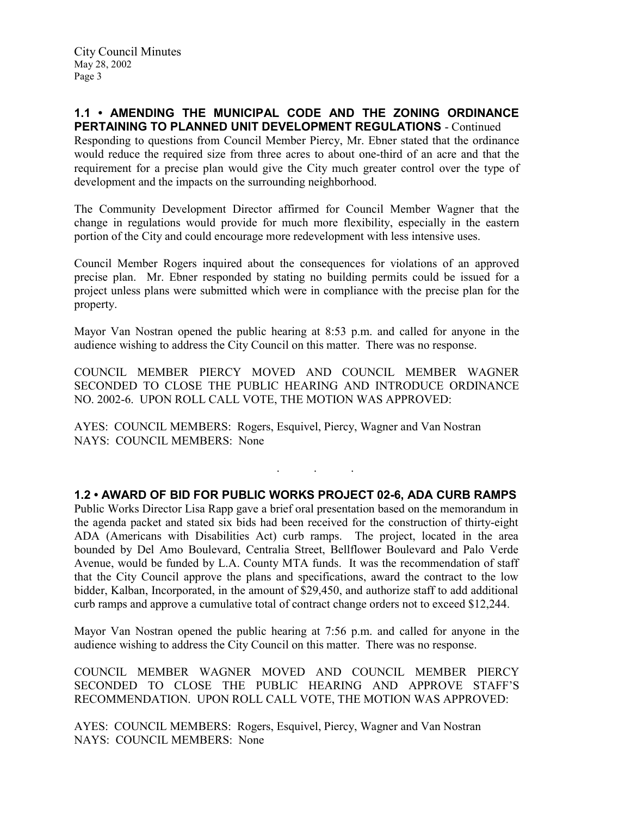### 1.1 • AMENDING THE MUNICIPAL CODE AND THE ZONING ORDINANCE PERTAINING TO PLANNED UNIT DEVELOPMENT REGULATIONS - Continued

Responding to questions from Council Member Piercy, Mr. Ebner stated that the ordinance would reduce the required size from three acres to about one-third of an acre and that the requirement for a precise plan would give the City much greater control over the type of development and the impacts on the surrounding neighborhood.

The Community Development Director affirmed for Council Member Wagner that the change in regulations would provide for much more flexibility, especially in the eastern portion of the City and could encourage more redevelopment with less intensive uses.

Council Member Rogers inquired about the consequences for violations of an approved precise plan. Mr. Ebner responded by stating no building permits could be issued for a project unless plans were submitted which were in compliance with the precise plan for the property.

Mayor Van Nostran opened the public hearing at 8:53 p.m. and called for anyone in the audience wishing to address the City Council on this matter. There was no response.

COUNCIL MEMBER PIERCY MOVED AND COUNCIL MEMBER WAGNER SECONDED TO CLOSE THE PUBLIC HEARING AND INTRODUCE ORDINANCE NO. 2002-6. UPON ROLL CALL VOTE, THE MOTION WAS APPROVED:

. . .

AYES: COUNCIL MEMBERS: Rogers, Esquivel, Piercy, Wagner and Van Nostran NAYS: COUNCIL MEMBERS: None

1.2 • AWARD OF BID FOR PUBLIC WORKS PROJECT 02-6, ADA CURB RAMPS Public Works Director Lisa Rapp gave a brief oral presentation based on the memorandum in the agenda packet and stated six bids had been received for the construction of thirty-eight ADA (Americans with Disabilities Act) curb ramps. The project, located in the area bounded by Del Amo Boulevard, Centralia Street, Bellflower Boulevard and Palo Verde Avenue, would be funded by L.A. County MTA funds. It was the recommendation of staff that the City Council approve the plans and specifications, award the contract to the low bidder, Kalban, Incorporated, in the amount of \$29,450, and authorize staff to add additional curb ramps and approve a cumulative total of contract change orders not to exceed \$12,244.

Mayor Van Nostran opened the public hearing at 7:56 p.m. and called for anyone in the audience wishing to address the City Council on this matter. There was no response.

COUNCIL MEMBER WAGNER MOVED AND COUNCIL MEMBER PIERCY SECONDED TO CLOSE THE PUBLIC HEARING AND APPROVE STAFF'S RECOMMENDATION. UPON ROLL CALL VOTE, THE MOTION WAS APPROVED:

AYES: COUNCIL MEMBERS: Rogers, Esquivel, Piercy, Wagner and Van Nostran NAYS: COUNCIL MEMBERS: None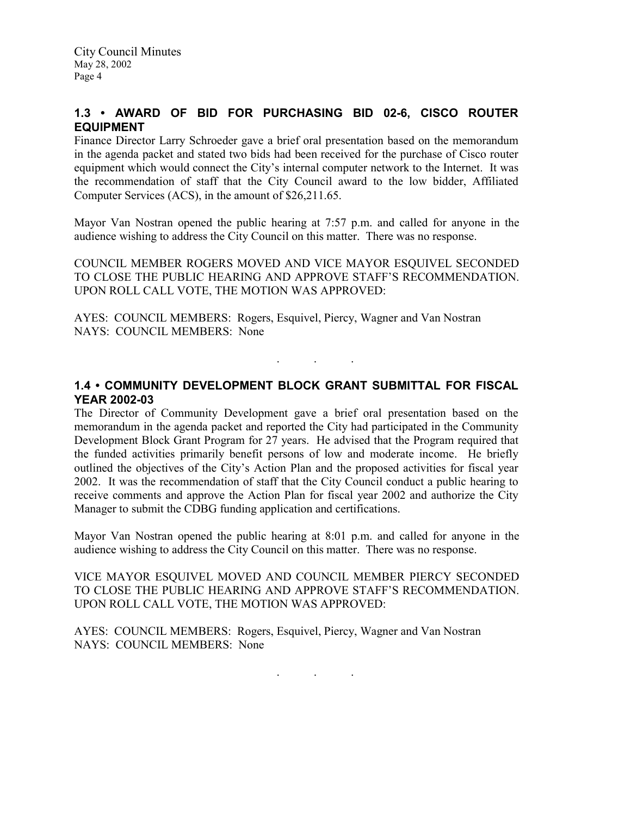# 1.3 • AWARD OF BID FOR PURCHASING BID 02-6, CISCO ROUTER EQUIPMENT

Finance Director Larry Schroeder gave a brief oral presentation based on the memorandum in the agenda packet and stated two bids had been received for the purchase of Cisco router equipment which would connect the City's internal computer network to the Internet. It was the recommendation of staff that the City Council award to the low bidder, Affiliated Computer Services (ACS), in the amount of \$26,211.65.

Mayor Van Nostran opened the public hearing at 7:57 p.m. and called for anyone in the audience wishing to address the City Council on this matter. There was no response.

COUNCIL MEMBER ROGERS MOVED AND VICE MAYOR ESQUIVEL SECONDED TO CLOSE THE PUBLIC HEARING AND APPROVE STAFF'S RECOMMENDATION. UPON ROLL CALL VOTE, THE MOTION WAS APPROVED:

AYES: COUNCIL MEMBERS: Rogers, Esquivel, Piercy, Wagner and Van Nostran NAYS: COUNCIL MEMBERS: None

## 1.4 • COMMUNITY DEVELOPMENT BLOCK GRANT SUBMITTAL FOR FISCAL YEAR 2002-03

. . .

The Director of Community Development gave a brief oral presentation based on the memorandum in the agenda packet and reported the City had participated in the Community Development Block Grant Program for 27 years. He advised that the Program required that the funded activities primarily benefit persons of low and moderate income. He briefly outlined the objectives of the City's Action Plan and the proposed activities for fiscal year 2002. It was the recommendation of staff that the City Council conduct a public hearing to receive comments and approve the Action Plan for fiscal year 2002 and authorize the City Manager to submit the CDBG funding application and certifications.

Mayor Van Nostran opened the public hearing at 8:01 p.m. and called for anyone in the audience wishing to address the City Council on this matter. There was no response.

VICE MAYOR ESQUIVEL MOVED AND COUNCIL MEMBER PIERCY SECONDED TO CLOSE THE PUBLIC HEARING AND APPROVE STAFF'S RECOMMENDATION. UPON ROLL CALL VOTE, THE MOTION WAS APPROVED:

AYES: COUNCIL MEMBERS: Rogers, Esquivel, Piercy, Wagner and Van Nostran NAYS: COUNCIL MEMBERS: None

. . .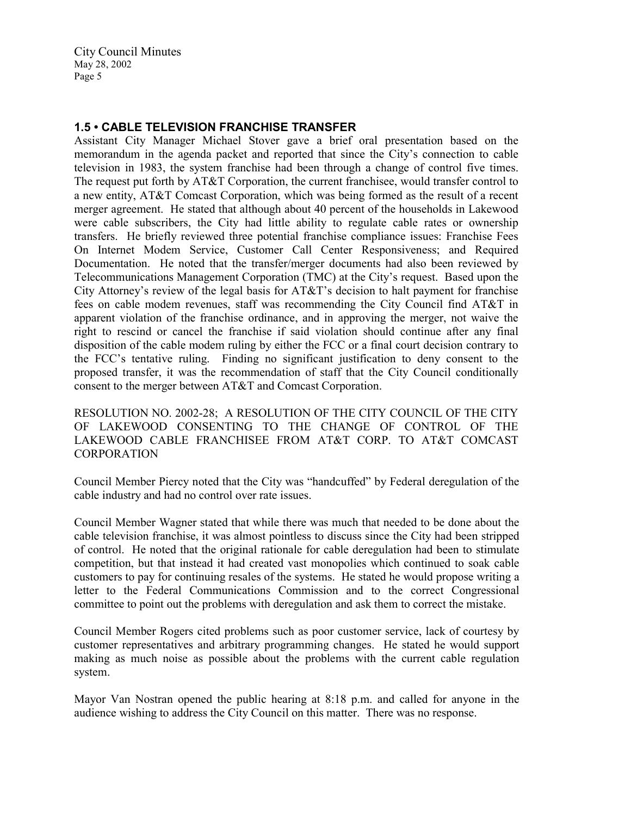## 1.5 • CABLE TELEVISION FRANCHISE TRANSFER

Assistant City Manager Michael Stover gave a brief oral presentation based on the memorandum in the agenda packet and reported that since the City's connection to cable television in 1983, the system franchise had been through a change of control five times. The request put forth by AT&T Corporation, the current franchisee, would transfer control to a new entity, AT&T Comcast Corporation, which was being formed as the result of a recent merger agreement. He stated that although about 40 percent of the households in Lakewood were cable subscribers, the City had little ability to regulate cable rates or ownership transfers. He briefly reviewed three potential franchise compliance issues: Franchise Fees On Internet Modem Service, Customer Call Center Responsiveness; and Required Documentation. He noted that the transfer/merger documents had also been reviewed by Telecommunications Management Corporation (TMC) at the City's request. Based upon the City Attorney's review of the legal basis for AT&T's decision to halt payment for franchise fees on cable modem revenues, staff was recommending the City Council find AT&T in apparent violation of the franchise ordinance, and in approving the merger, not waive the right to rescind or cancel the franchise if said violation should continue after any final disposition of the cable modem ruling by either the FCC or a final court decision contrary to the FCC's tentative ruling. Finding no significant justification to deny consent to the proposed transfer, it was the recommendation of staff that the City Council conditionally consent to the merger between AT&T and Comcast Corporation.

RESOLUTION NO. 2002-28; A RESOLUTION OF THE CITY COUNCIL OF THE CITY OF LAKEWOOD CONSENTING TO THE CHANGE OF CONTROL OF THE LAKEWOOD CABLE FRANCHISEE FROM AT&T CORP. TO AT&T COMCAST **CORPORATION** 

Council Member Piercy noted that the City was "handcuffed" by Federal deregulation of the cable industry and had no control over rate issues.

Council Member Wagner stated that while there was much that needed to be done about the cable television franchise, it was almost pointless to discuss since the City had been stripped of control. He noted that the original rationale for cable deregulation had been to stimulate competition, but that instead it had created vast monopolies which continued to soak cable customers to pay for continuing resales of the systems. He stated he would propose writing a letter to the Federal Communications Commission and to the correct Congressional committee to point out the problems with deregulation and ask them to correct the mistake.

Council Member Rogers cited problems such as poor customer service, lack of courtesy by customer representatives and arbitrary programming changes. He stated he would support making as much noise as possible about the problems with the current cable regulation system.

Mayor Van Nostran opened the public hearing at 8:18 p.m. and called for anyone in the audience wishing to address the City Council on this matter. There was no response.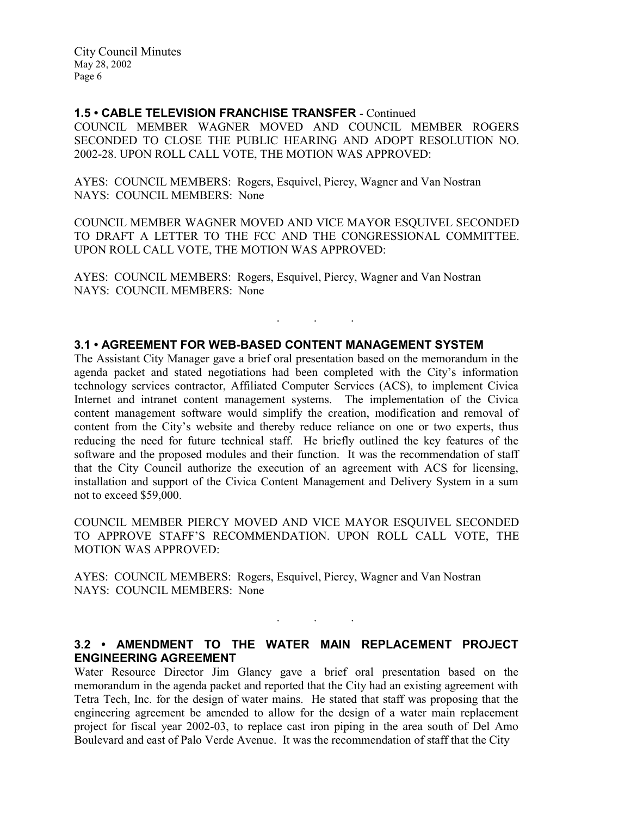#### 1.5 • CABLE TELEVISION FRANCHISE TRANSFER - Continued

COUNCIL MEMBER WAGNER MOVED AND COUNCIL MEMBER ROGERS SECONDED TO CLOSE THE PUBLIC HEARING AND ADOPT RESOLUTION NO. 2002-28. UPON ROLL CALL VOTE, THE MOTION WAS APPROVED:

AYES: COUNCIL MEMBERS: Rogers, Esquivel, Piercy, Wagner and Van Nostran NAYS: COUNCIL MEMBERS: None

COUNCIL MEMBER WAGNER MOVED AND VICE MAYOR ESQUIVEL SECONDED TO DRAFT A LETTER TO THE FCC AND THE CONGRESSIONAL COMMITTEE. UPON ROLL CALL VOTE, THE MOTION WAS APPROVED:

. . .

AYES: COUNCIL MEMBERS: Rogers, Esquivel, Piercy, Wagner and Van Nostran NAYS: COUNCIL MEMBERS: None

### 3.1 • AGREEMENT FOR WEB-BASED CONTENT MANAGEMENT SYSTEM

The Assistant City Manager gave a brief oral presentation based on the memorandum in the agenda packet and stated negotiations had been completed with the City's information technology services contractor, Affiliated Computer Services (ACS), to implement Civica Internet and intranet content management systems. The implementation of the Civica content management software would simplify the creation, modification and removal of content from the City's website and thereby reduce reliance on one or two experts, thus reducing the need for future technical staff. He briefly outlined the key features of the software and the proposed modules and their function. It was the recommendation of staff that the City Council authorize the execution of an agreement with ACS for licensing, installation and support of the Civica Content Management and Delivery System in a sum not to exceed \$59,000.

COUNCIL MEMBER PIERCY MOVED AND VICE MAYOR ESQUIVEL SECONDED TO APPROVE STAFF'S RECOMMENDATION. UPON ROLL CALL VOTE, THE MOTION WAS APPROVED:

AYES: COUNCIL MEMBERS: Rogers, Esquivel, Piercy, Wagner and Van Nostran NAYS: COUNCIL MEMBERS: None

### 3.2 • AMENDMENT TO THE WATER MAIN REPLACEMENT PROJECT ENGINEERING AGREEMENT

. . .

Water Resource Director Jim Glancy gave a brief oral presentation based on the memorandum in the agenda packet and reported that the City had an existing agreement with Tetra Tech, Inc. for the design of water mains. He stated that staff was proposing that the engineering agreement be amended to allow for the design of a water main replacement project for fiscal year 2002-03, to replace cast iron piping in the area south of Del Amo Boulevard and east of Palo Verde Avenue. It was the recommendation of staff that the City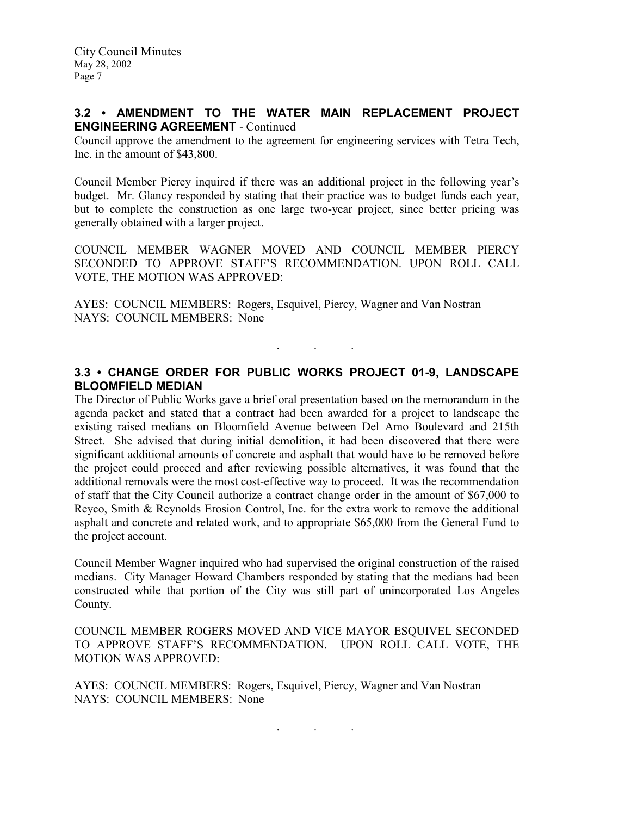## 3.2 • AMENDMENT TO THE WATER MAIN REPLACEMENT PROJECT ENGINEERING AGREEMENT - Continued

Council approve the amendment to the agreement for engineering services with Tetra Tech, Inc. in the amount of \$43,800.

Council Member Piercy inquired if there was an additional project in the following year's budget. Mr. Glancy responded by stating that their practice was to budget funds each year, but to complete the construction as one large two-year project, since better pricing was generally obtained with a larger project.

COUNCIL MEMBER WAGNER MOVED AND COUNCIL MEMBER PIERCY SECONDED TO APPROVE STAFF'S RECOMMENDATION. UPON ROLL CALL VOTE, THE MOTION WAS APPROVED:

AYES: COUNCIL MEMBERS: Rogers, Esquivel, Piercy, Wagner and Van Nostran NAYS: COUNCIL MEMBERS: None

## 3.3 • CHANGE ORDER FOR PUBLIC WORKS PROJECT 01-9, LANDSCAPE BLOOMFIELD MEDIAN

. . .

The Director of Public Works gave a brief oral presentation based on the memorandum in the agenda packet and stated that a contract had been awarded for a project to landscape the existing raised medians on Bloomfield Avenue between Del Amo Boulevard and 215th Street. She advised that during initial demolition, it had been discovered that there were significant additional amounts of concrete and asphalt that would have to be removed before the project could proceed and after reviewing possible alternatives, it was found that the additional removals were the most cost-effective way to proceed. It was the recommendation of staff that the City Council authorize a contract change order in the amount of \$67,000 to Reyco, Smith & Reynolds Erosion Control, Inc. for the extra work to remove the additional asphalt and concrete and related work, and to appropriate \$65,000 from the General Fund to the project account.

Council Member Wagner inquired who had supervised the original construction of the raised medians. City Manager Howard Chambers responded by stating that the medians had been constructed while that portion of the City was still part of unincorporated Los Angeles County.

COUNCIL MEMBER ROGERS MOVED AND VICE MAYOR ESQUIVEL SECONDED TO APPROVE STAFF'S RECOMMENDATION. UPON ROLL CALL VOTE, THE MOTION WAS APPROVED:

AYES: COUNCIL MEMBERS: Rogers, Esquivel, Piercy, Wagner and Van Nostran NAYS: COUNCIL MEMBERS: None

. . .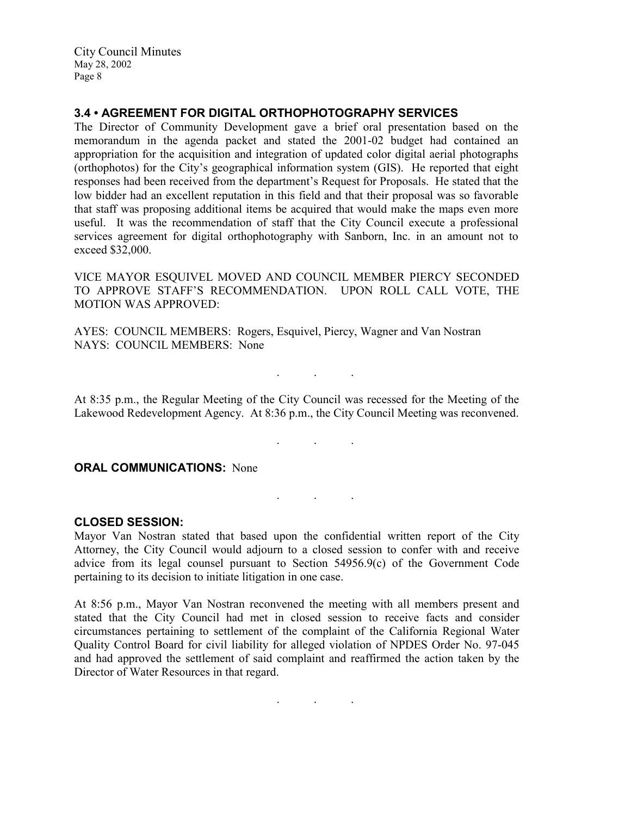## 3.4 • AGREEMENT FOR DIGITAL ORTHOPHOTOGRAPHY SERVICES

The Director of Community Development gave a brief oral presentation based on the memorandum in the agenda packet and stated the 2001-02 budget had contained an appropriation for the acquisition and integration of updated color digital aerial photographs (orthophotos) for the City's geographical information system (GIS). He reported that eight responses had been received from the department's Request for Proposals. He stated that the low bidder had an excellent reputation in this field and that their proposal was so favorable that staff was proposing additional items be acquired that would make the maps even more useful. It was the recommendation of staff that the City Council execute a professional services agreement for digital orthophotography with Sanborn, Inc. in an amount not to exceed \$32,000.

VICE MAYOR ESQUIVEL MOVED AND COUNCIL MEMBER PIERCY SECONDED TO APPROVE STAFF'S RECOMMENDATION. UPON ROLL CALL VOTE, THE MOTION WAS APPROVED:

AYES: COUNCIL MEMBERS: Rogers, Esquivel, Piercy, Wagner and Van Nostran NAYS: COUNCIL MEMBERS: None

At 8:35 p.m., the Regular Meeting of the City Council was recessed for the Meeting of the Lakewood Redevelopment Agency. At 8:36 p.m., the City Council Meeting was reconvened.

. . .

. . .

 $\mathbf{r}$  .  $\mathbf{r}$  ,  $\mathbf{r}$  ,  $\mathbf{r}$  ,  $\mathbf{r}$  ,  $\mathbf{r}$  ,  $\mathbf{r}$  ,  $\mathbf{r}$ 

**ORAL COMMUNICATIONS: None** 

#### CLOSED SESSION:

Mayor Van Nostran stated that based upon the confidential written report of the City Attorney, the City Council would adjourn to a closed session to confer with and receive advice from its legal counsel pursuant to Section 54956.9(c) of the Government Code pertaining to its decision to initiate litigation in one case.

At 8:56 p.m., Mayor Van Nostran reconvened the meeting with all members present and stated that the City Council had met in closed session to receive facts and consider circumstances pertaining to settlement of the complaint of the California Regional Water Quality Control Board for civil liability for alleged violation of NPDES Order No. 97-045 and had approved the settlement of said complaint and reaffirmed the action taken by the Director of Water Resources in that regard.

 $\mathbf{r}$  .  $\mathbf{r}$  ,  $\mathbf{r}$  ,  $\mathbf{r}$  ,  $\mathbf{r}$  ,  $\mathbf{r}$  ,  $\mathbf{r}$  ,  $\mathbf{r}$